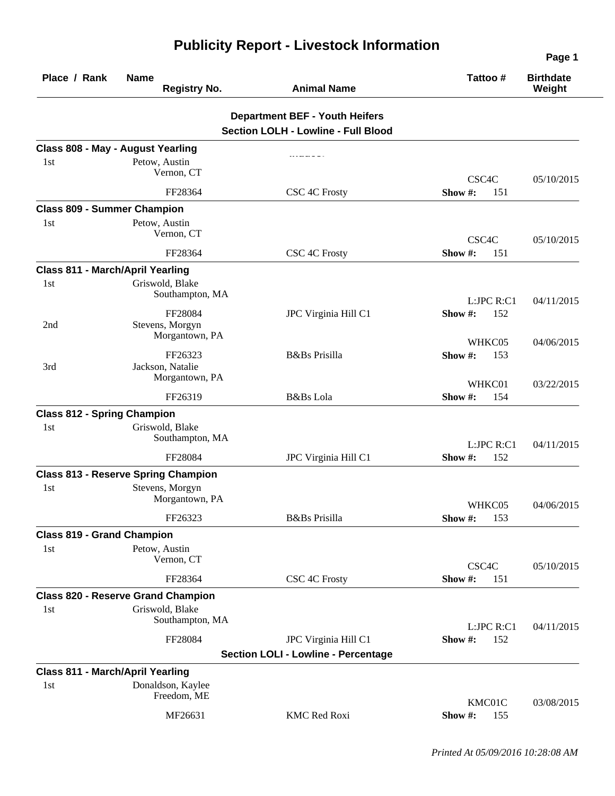| Place / Rank                            | <b>Name</b><br><b>Registry No.</b>                               | <b>Animal Name</b>                         | Tattoo#                      | <b>Birthdate</b><br>Weight |
|-----------------------------------------|------------------------------------------------------------------|--------------------------------------------|------------------------------|----------------------------|
|                                         |                                                                  | <b>Department BEF - Youth Heifers</b>      |                              |                            |
|                                         |                                                                  | <b>Section LOLH - Lowline - Full Blood</b> |                              |                            |
| 1st                                     | Class 808 - May - August Yearling<br>Petow, Austin<br>Vernon, CT |                                            | CSC4C                        | 05/10/2015                 |
|                                         | FF28364                                                          | CSC 4C Frosty                              | Show #:<br>151               |                            |
| <b>Class 809 - Summer Champion</b>      |                                                                  |                                            |                              |                            |
| 1st                                     | Petow, Austin<br>Vernon, CT                                      |                                            | CSC4C                        | 05/10/2015                 |
|                                         | FF28364                                                          | CSC 4C Frosty                              | Show #:<br>151               |                            |
| <b>Class 811 - March/April Yearling</b> |                                                                  |                                            |                              |                            |
| 1st                                     | Griswold, Blake<br>Southampton, MA<br>FF28084                    | JPC Virginia Hill C1                       | L:JPC R:C1<br>Show #:<br>152 | 04/11/2015                 |
| 2nd                                     | Stevens, Morgyn<br>Morgantown, PA                                |                                            | WHKC05                       | 04/06/2015                 |
| 3rd                                     | FF26323<br>Jackson, Natalie<br>Morgantown, PA                    | <b>B</b> &Bs Prisilla                      | Show #:<br>153<br>WHKC01     | 03/22/2015                 |
|                                         | FF26319                                                          | B&Bs Lola                                  | Show #:<br>154               |                            |
| <b>Class 812 - Spring Champion</b>      |                                                                  |                                            |                              |                            |
| 1st                                     | Griswold, Blake<br>Southampton, MA                               |                                            | L:JPC R:C1                   | 04/11/2015                 |
|                                         | FF28084                                                          | JPC Virginia Hill C1                       | Show #:<br>152               |                            |
|                                         | <b>Class 813 - Reserve Spring Champion</b>                       |                                            |                              |                            |
| 1st                                     | Stevens, Morgyn<br>Morgantown, PA                                |                                            | WHKC05                       | 04/06/2015                 |
|                                         | FF26323                                                          | B&Bs Prisilla                              | <b>Show #:</b> 153           |                            |
| <b>Class 819 - Grand Champion</b>       |                                                                  |                                            |                              |                            |
| 1st                                     | Petow, Austin<br>Vernon, CT                                      |                                            | CSC4C                        | 05/10/2015                 |
|                                         | FF28364                                                          | CSC 4C Frosty                              | Show#:<br>151                |                            |
|                                         | <b>Class 820 - Reserve Grand Champion</b>                        |                                            |                              |                            |
| 1st                                     | Griswold, Blake<br>Southampton, MA                               |                                            | L:JPC R:C1                   | 04/11/2015                 |
|                                         | FF28084                                                          | JPC Virginia Hill C1                       | Show #:<br>152               |                            |
|                                         |                                                                  | <b>Section LOLI - Lowline - Percentage</b> |                              |                            |
| <b>Class 811 - March/April Yearling</b> |                                                                  |                                            |                              |                            |
| 1st                                     | Donaldson, Kaylee<br>Freedom, ME                                 |                                            | KMC01C                       | 03/08/2015                 |
|                                         | MF26631                                                          | <b>KMC Red Roxi</b>                        | Show#:<br>155                |                            |

## **Publicity Report - Livestock Information**

**Page 1**